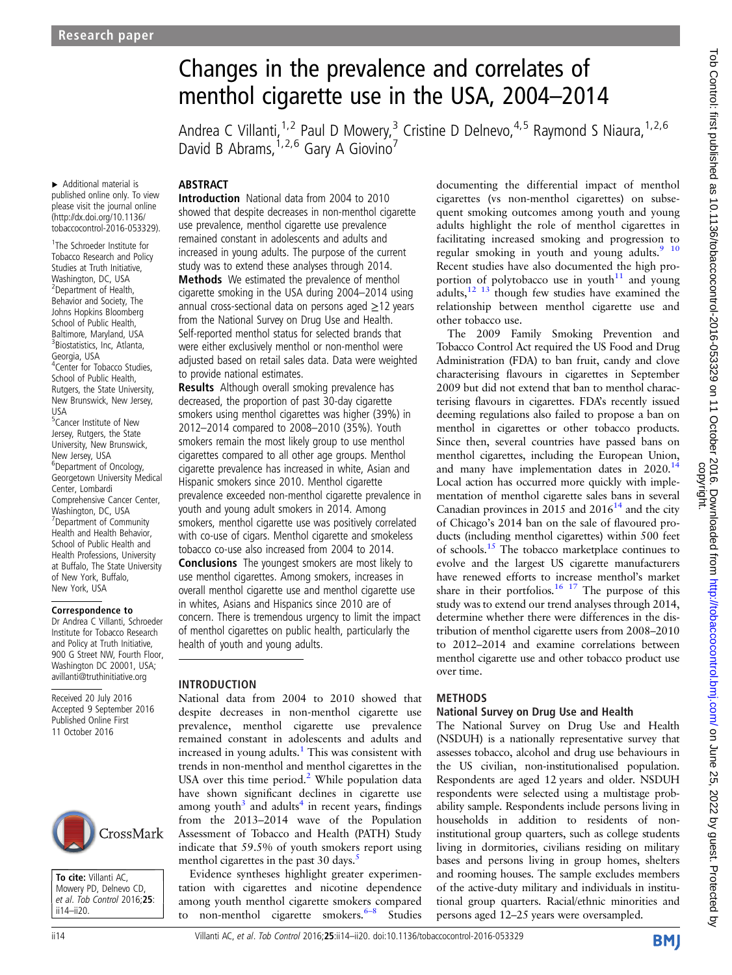# ▸ Additional material is published online only. To view please visit the journal online [\(http://dx.doi.org/10.1136/](http://dx.doi.org/10.1136/tobaccocontrol-2016-053329) [tobaccocontrol-2016-053329\)](http://dx.doi.org/10.1136/tobaccocontrol-2016-053329).

1 The Schroeder Institute for Tobacco Research and Policy Studies at Truth Initiative, Washington, DC, USA 2 Department of Health, Behavior and Society, The Johns Hopkins Bloomberg School of Public Health, Baltimore, Maryland, USA <sup>3</sup> Biostatistics, Inc, Atlanta, Georgia, USA 4 Center for Tobacco Studies, School of Public Health, Rutgers, the State University, New Brunswick, New Jersey, USA 5 Cancer Institute of New Jersey, Rutgers, the State University, New Brunswick, New Jersey, USA 6 Department of Oncology, Georgetown University Medical Center, Lombardi Comprehensive Cancer Center, Washington, DC, USA 7 Department of Community Health and Health Behavior, School of Public Health and Health Professions, University at Buffalo, The State University of New York, Buffalo, New York, USA

#### Correspondence to

Dr Andrea C Villanti, Schroeder Institute for Tobacco Research and Policy at Truth Initiative, 900 G Street NW, Fourth Floor, Washington DC 20001, USA; avillanti@truthinitiative.org

Received 20 July 2016 Accepted 9 September 2016 Published Online First 11 October 2016



To cite: Villanti AC, Mowery PD, Delnevo CD, et al. Tob Control 2016;25: ii14–ii20.

# Changes in the prevalence and correlates of menthol cigarette use in the USA, 2004–2014

Andrea C Villanti,<sup>1,2</sup> Paul D Mowery,<sup>3</sup> Cristine D Delnevo,<sup>4,5</sup> Raymond S Niaura,<sup>1,2,6</sup> David B Abrams,  $1,2,6$  Gary A Giovino<sup>7</sup>

# ABSTRACT

**Introduction** National data from 2004 to 2010 showed that despite decreases in non-menthol cigarette use prevalence, menthol cigarette use prevalence remained constant in adolescents and adults and increased in young adults. The purpose of the current study was to extend these analyses through 2014.

**Methods** We estimated the prevalence of menthol cigarette smoking in the USA during 2004–2014 using annual cross-sectional data on persons aged ≥12 years from the National Survey on Drug Use and Health. Self-reported menthol status for selected brands that were either exclusively menthol or non-menthol were adjusted based on retail sales data. Data were weighted to provide national estimates.

Results Although overall smoking prevalence has decreased, the proportion of past 30-day cigarette smokers using menthol cigarettes was higher (39%) in 2012–2014 compared to 2008–2010 (35%). Youth smokers remain the most likely group to use menthol cigarettes compared to all other age groups. Menthol cigarette prevalence has increased in white, Asian and Hispanic smokers since 2010. Menthol cigarette prevalence exceeded non-menthol cigarette prevalence in youth and young adult smokers in 2014. Among smokers, menthol cigarette use was positively correlated with co-use of cigars. Menthol cigarette and smokeless tobacco co-use also increased from 2004 to 2014. Conclusions The youngest smokers are most likely to use menthol cigarettes. Among smokers, increases in overall menthol cigarette use and menthol cigarette use in whites, Asians and Hispanics since 2010 are of concern. There is tremendous urgency to limit the impact

of menthol cigarettes on public health, particularly the health of youth and young adults.

# INTRODUCTION

National data from 2004 to 2010 showed that despite decreases in non-menthol cigarette use prevalence, menthol cigarette use prevalence remained constant in adolescents and adults and increased in young adults.<sup>[1](#page-6-0)</sup> This was consistent with trends in non-menthol and menthol cigarettes in the USA over this time period. $2$  While population data have shown significant declines in cigarette use among youth $3$  and adults<sup>[4](#page-6-0)</sup> in recent years, findings from the 2013–2014 wave of the Population Assessment of Tobacco and Health (PATH) Study indicate that 59.5% of youth smokers report using menthol cigarettes in the past  $30 \text{ days}$ .

Evidence syntheses highlight greater experimentation with cigarettes and nicotine dependence among youth menthol cigarette smokers compared to non-menthol cigarette smokers. $6-8$  $6-8$  Studies documenting the differential impact of menthol cigarettes (vs non-menthol cigarettes) on subsequent smoking outcomes among youth and young adults highlight the role of menthol cigarettes in facilitating increased smoking and progression to regular smoking in youth and young adults.<sup>9</sup> <sup>10</sup> Recent studies have also documented the high proportion of polytobacco use in youth $11$  and young adults, $12 \tcdot 13$  though few studies have examined the relationship between menthol cigarette use and other tobacco use.

The 2009 Family Smoking Prevention and Tobacco Control Act required the US Food and Drug Administration (FDA) to ban fruit, candy and clove characterising flavours in cigarettes in September 2009 but did not extend that ban to menthol characterising flavours in cigarettes. FDA's recently issued deeming regulations also failed to propose a ban on menthol in cigarettes or other tobacco products. Since then, several countries have passed bans on menthol cigarettes, including the European Union, and many have implementation dates in  $2020$ .<sup>14</sup> Local action has occurred more quickly with implementation of menthol cigarette sales bans in several Canadian provinces in 2015 and  $2016<sup>14</sup>$  and the city of Chicago's 2014 ban on the sale of flavoured products (including menthol cigarettes) within 500 feet of schools.<sup>15</sup> The tobacco marketplace continues to evolve and the largest US cigarette manufacturers have renewed efforts to increase menthol's market share in their portfolios.<sup>16 17</sup> The purpose of this study was to extend our trend analyses through 2014, determine whether there were differences in the distribution of menthol cigarette users from 2008–2010 to 2012–2014 and examine correlations between menthol cigarette use and other tobacco product use over time.

# METHODS

# National Survey on Drug Use and Health

The National Survey on Drug Use and Health (NSDUH) is a nationally representative survey that assesses tobacco, alcohol and drug use behaviours in the US civilian, non-institutionalised population. Respondents are aged 12 years and older. NSDUH respondents were selected using a multistage probability sample. Respondents include persons living in households in addition to residents of noninstitutional group quarters, such as college students living in dormitories, civilians residing on military bases and persons living in group homes, shelters and rooming houses. The sample excludes members of the active-duty military and individuals in institutional group quarters. Racial/ethnic minorities and persons aged 12–25 years were oversampled.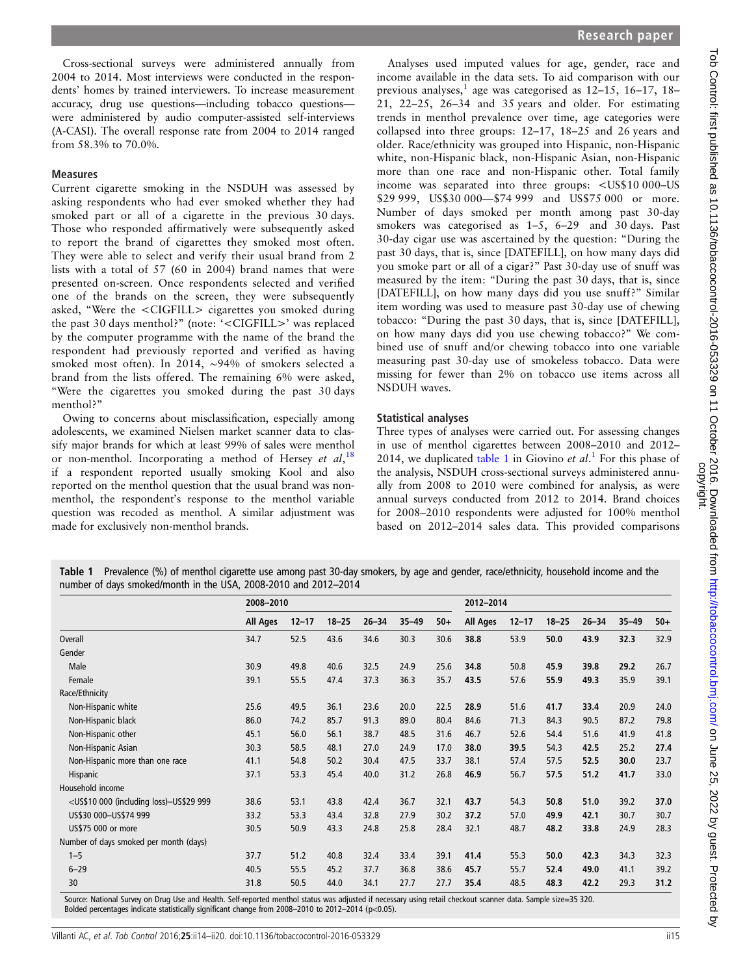Cross-sectional surveys were administered annually from 2004 to 2014. Most interviews were conducted in the respondents' homes by trained interviewers. To increase measurement accuracy, drug use questions—including tobacco questions were administered by audio computer-assisted self-interviews (A-CASI). The overall response rate from 2004 to 2014 ranged from 58.3% to 70.0%.

#### Measures

Current cigarette smoking in the NSDUH was assessed by asking respondents who had ever smoked whether they had smoked part or all of a cigarette in the previous 30 days. Those who responded affirmatively were subsequently asked to report the brand of cigarettes they smoked most often. They were able to select and verify their usual brand from 2 lists with a total of 57 (60 in 2004) brand names that were presented on-screen. Once respondents selected and verified one of the brands on the screen, they were subsequently asked, "Were the <CIGFILL> cigarettes you smoked during the past 30 days menthol?" (note: '<CIGFILL>' was replaced by the computer programme with the name of the brand the respondent had previously reported and verified as having smoked most often). In 2014, ∼94% of smokers selected a brand from the lists offered. The remaining 6% were asked, "Were the cigarettes you smoked during the past 30 days menthol?"

Owing to concerns about misclassification, especially among adolescents, we examined Nielsen market scanner data to classify major brands for which at least 99% of sales were menthol or non-menthol. Incorporating a method of Hersey et  $al$ ,  $18$ if a respondent reported usually smoking Kool and also reported on the menthol question that the usual brand was nonmenthol, the respondent's response to the menthol variable question was recoded as menthol. A similar adjustment was made for exclusively non-menthol brands.

Analyses used imputed values for age, gender, race and income available in the data sets. To aid comparison with our previous analyses,<sup>[1](#page-6-0)</sup> age was categorised as  $12-15$ ,  $16-17$ ,  $18-$ 21, 22–25, 26–34 and 35 years and older. For estimating trends in menthol prevalence over time, age categories were collapsed into three groups: 12–17, 18–25 and 26 years and older. Race/ethnicity was grouped into Hispanic, non-Hispanic white, non-Hispanic black, non-Hispanic Asian, non-Hispanic more than one race and non-Hispanic other. Total family income was separated into three groups: <US\$10 000–US \$29 999, US\$30 000—\$74 999 and US\$75 000 or more. Number of days smoked per month among past 30-day smokers was categorised as 1–5, 6–29 and 30 days. Past 30-day cigar use was ascertained by the question: "During the past 30 days, that is, since [DATEFILL], on how many days did you smoke part or all of a cigar?" Past 30-day use of snuff was measured by the item: "During the past 30 days, that is, since [DATEFILL], on how many days did you use snuff?" Similar item wording was used to measure past 30-day use of chewing tobacco: "During the past 30 days, that is, since [DATEFILL], on how many days did you use chewing tobacco?" We combined use of snuff and/or chewing tobacco into one variable measuring past 30-day use of smokeless tobacco. Data were missing for fewer than 2% on tobacco use items across all NSDUH waves.

#### Statistical analyses

Three types of analyses were carried out. For assessing changes in use of menthol cigarettes between 2008–2010 and 2012– 20[1](#page-6-0)4, we duplicated table 1 in Giovino et  $al$ .<sup>1</sup> For this phase of the analysis, NSDUH cross-sectional surveys administered annually from 2008 to 2010 were combined for analysis, as were annual surveys conducted from 2012 to 2014. Brand choices for 2008–2010 respondents were adjusted for 100% menthol based on 2012–2014 sales data. This provided comparisons

Table 1 Prevalence (%) of menthol cigarette use among past 30-day smokers, by age and gender, race/ethnicity, household income and the number of days smoked/month in the USA, 2008-2010 and 2012–2014

|                                                                                                                                                                                                                                  |                 | 2008-2010 |           |           |           |       |                 |           | 2012-2014 |           |           |       |  |  |
|----------------------------------------------------------------------------------------------------------------------------------------------------------------------------------------------------------------------------------|-----------------|-----------|-----------|-----------|-----------|-------|-----------------|-----------|-----------|-----------|-----------|-------|--|--|
|                                                                                                                                                                                                                                  | <b>All Ages</b> | $12 - 17$ | $18 - 25$ | $26 - 34$ | $35 - 49$ | $50+$ | <b>All Ages</b> | $12 - 17$ | $18 - 25$ | $26 - 34$ | $35 - 49$ | $50+$ |  |  |
| Overall                                                                                                                                                                                                                          | 34.7            | 52.5      | 43.6      | 34.6      | 30.3      | 30.6  | 38.8            | 53.9      | 50.0      | 43.9      | 32.3      | 32.9  |  |  |
| Gender                                                                                                                                                                                                                           |                 |           |           |           |           |       |                 |           |           |           |           |       |  |  |
| Male                                                                                                                                                                                                                             | 30.9            | 49.8      | 40.6      | 32.5      | 24.9      | 25.6  | 34.8            | 50.8      | 45.9      | 39.8      | 29.2      | 26.7  |  |  |
| Female                                                                                                                                                                                                                           | 39.1            | 55.5      | 47.4      | 37.3      | 36.3      | 35.7  | 43.5            | 57.6      | 55.9      | 49.3      | 35.9      | 39.1  |  |  |
| Race/Ethnicity                                                                                                                                                                                                                   |                 |           |           |           |           |       |                 |           |           |           |           |       |  |  |
| Non-Hispanic white                                                                                                                                                                                                               | 25.6            | 49.5      | 36.1      | 23.6      | 20.0      | 22.5  | 28.9            | 51.6      | 41.7      | 33.4      | 20.9      | 24.0  |  |  |
| Non-Hispanic black                                                                                                                                                                                                               | 86.0            | 74.2      | 85.7      | 91.3      | 89.0      | 80.4  | 84.6            | 71.3      | 84.3      | 90.5      | 87.2      | 79.8  |  |  |
| Non-Hispanic other                                                                                                                                                                                                               | 45.1            | 56.0      | 56.1      | 38.7      | 48.5      | 31.6  | 46.7            | 52.6      | 54.4      | 51.6      | 41.9      | 41.8  |  |  |
| Non-Hispanic Asian                                                                                                                                                                                                               | 30.3            | 58.5      | 48.1      | 27.0      | 24.9      | 17.0  | 38.0            | 39.5      | 54.3      | 42.5      | 25.2      | 27.4  |  |  |
| Non-Hispanic more than one race                                                                                                                                                                                                  | 41.1            | 54.8      | 50.2      | 30.4      | 47.5      | 33.7  | 38.1            | 57.4      | 57.5      | 52.5      | 30.0      | 23.7  |  |  |
| Hispanic                                                                                                                                                                                                                         | 37.1            | 53.3      | 45.4      | 40.0      | 31.2      | 26.8  | 46.9            | 56.7      | 57.5      | 51.2      | 41.7      | 33.0  |  |  |
| Household income                                                                                                                                                                                                                 |                 |           |           |           |           |       |                 |           |           |           |           |       |  |  |
| <us\$10 (including="" 000="" 999<="" loss)-us\$29="" td=""><td>38.6</td><td>53.1</td><td>43.8</td><td>42.4</td><td>36.7</td><td>32.1</td><td>43.7</td><td>54.3</td><td>50.8</td><td>51.0</td><td>39.2</td><td>37.0</td></us\$10> | 38.6            | 53.1      | 43.8      | 42.4      | 36.7      | 32.1  | 43.7            | 54.3      | 50.8      | 51.0      | 39.2      | 37.0  |  |  |
| US\$30 000-US\$74 999                                                                                                                                                                                                            | 33.2            | 53.3      | 43.4      | 32.8      | 27.9      | 30.2  | 37.2            | 57.0      | 49.9      | 42.1      | 30.7      | 30.7  |  |  |
| US\$75 000 or more                                                                                                                                                                                                               | 30.5            | 50.9      | 43.3      | 24.8      | 25.8      | 28.4  | 32.1            | 48.7      | 48.2      | 33.8      | 24.9      | 28.3  |  |  |
| Number of days smoked per month (days)                                                                                                                                                                                           |                 |           |           |           |           |       |                 |           |           |           |           |       |  |  |
| $1 - 5$                                                                                                                                                                                                                          | 37.7            | 51.2      | 40.8      | 32.4      | 33.4      | 39.1  | 41.4            | 55.3      | 50.0      | 42.3      | 34.3      | 32.3  |  |  |
| $6 - 29$                                                                                                                                                                                                                         | 40.5            | 55.5      | 45.2      | 37.7      | 36.8      | 38.6  | 45.7            | 55.7      | 52.4      | 49.0      | 41.1      | 39.2  |  |  |
| 30                                                                                                                                                                                                                               | 31.8            | 50.5      | 44.0      | 34.1      | 27.7      | 27.7  | 35.4            | 48.5      | 48.3      | 42.2      | 29.3      | 31.2  |  |  |

Source: National Survey on Drug Use and Health. Self-reported menthol status was adjusted if necessary using retail checkout scanner data. Sample size=35 320. Bolded percentages indicate statistically significant change from 2008–2010 to 2012–2014 (p<0.05).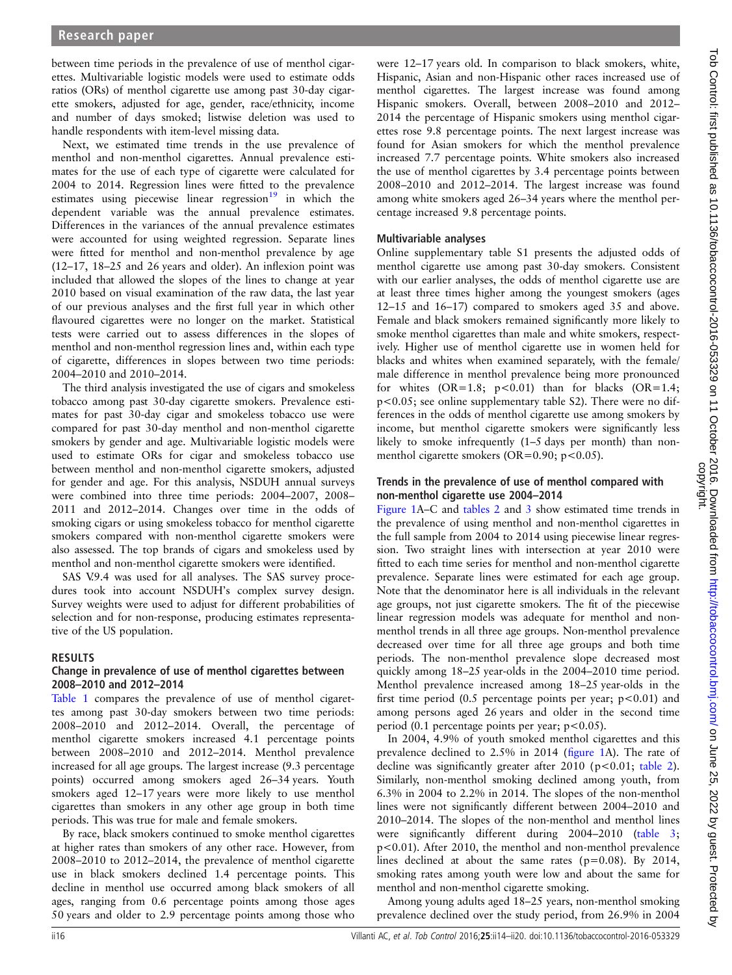between time periods in the prevalence of use of menthol cigarettes. Multivariable logistic models were used to estimate odds ratios (ORs) of menthol cigarette use among past 30-day cigarette smokers, adjusted for age, gender, race/ethnicity, income and number of days smoked; listwise deletion was used to handle respondents with item-level missing data.

Next, we estimated time trends in the use prevalence of menthol and non-menthol cigarettes. Annual prevalence estimates for the use of each type of cigarette were calculated for 2004 to 2014. Regression lines were fitted to the prevalence estimates using piecewise linear regression $19$  in which the dependent variable was the annual prevalence estimates. Differences in the variances of the annual prevalence estimates were accounted for using weighted regression. Separate lines were fitted for menthol and non-menthol prevalence by age (12–17, 18–25 and 26 years and older). An inflexion point was included that allowed the slopes of the lines to change at year 2010 based on visual examination of the raw data, the last year of our previous analyses and the first full year in which other flavoured cigarettes were no longer on the market. Statistical tests were carried out to assess differences in the slopes of menthol and non-menthol regression lines and, within each type of cigarette, differences in slopes between two time periods: 2004–2010 and 2010–2014.

The third analysis investigated the use of cigars and smokeless tobacco among past 30-day cigarette smokers. Prevalence estimates for past 30-day cigar and smokeless tobacco use were compared for past 30-day menthol and non-menthol cigarette smokers by gender and age. Multivariable logistic models were used to estimate ORs for cigar and smokeless tobacco use between menthol and non-menthol cigarette smokers, adjusted for gender and age. For this analysis, NSDUH annual surveys were combined into three time periods: 2004–2007, 2008– 2011 and 2012–2014. Changes over time in the odds of smoking cigars or using smokeless tobacco for menthol cigarette smokers compared with non-menthol cigarette smokers were also assessed. The top brands of cigars and smokeless used by menthol and non-menthol cigarette smokers were identified.

SAS V.9.4 was used for all analyses. The SAS survey procedures took into account NSDUH's complex survey design. Survey weights were used to adjust for different probabilities of selection and for non-response, producing estimates representative of the US population.

# RESULTS

### Change in prevalence of use of menthol cigarettes between 2008–2010 and 2012–2014

Table 1 compares the prevalence of use of menthol cigarettes among past 30-day smokers between two time periods: 2008–2010 and 2012–2014. Overall, the percentage of menthol cigarette smokers increased 4.1 percentage points between 2008–2010 and 2012–2014. Menthol prevalence increased for all age groups. The largest increase (9.3 percentage points) occurred among smokers aged 26–34 years. Youth smokers aged 12–17 years were more likely to use menthol cigarettes than smokers in any other age group in both time periods. This was true for male and female smokers.

By race, black smokers continued to smoke menthol cigarettes at higher rates than smokers of any other race. However, from 2008–2010 to 2012–2014, the prevalence of menthol cigarette use in black smokers declined 1.4 percentage points. This decline in menthol use occurred among black smokers of all ages, ranging from 0.6 percentage points among those ages 50 years and older to 2.9 percentage points among those who

were 12–17 years old. In comparison to black smokers, white, Hispanic, Asian and non-Hispanic other races increased use of menthol cigarettes. The largest increase was found among Hispanic smokers. Overall, between 2008–2010 and 2012– 2014 the percentage of Hispanic smokers using menthol cigarettes rose 9.8 percentage points. The next largest increase was found for Asian smokers for which the menthol prevalence increased 7.7 percentage points. White smokers also increased the use of menthol cigarettes by 3.4 percentage points between 2008–2010 and 2012–2014. The largest increase was found among white smokers aged 26–34 years where the menthol percentage increased 9.8 percentage points.

## Multivariable analyses

Online [supplementary table S1](http://dx.doi.org/10.1136/tobaccocontrol-2016-053329) presents the adjusted odds of menthol cigarette use among past 30-day smokers. Consistent with our earlier analyses, the odds of menthol cigarette use are at least three times higher among the youngest smokers (ages 12–15 and 16–17) compared to smokers aged 35 and above. Female and black smokers remained significantly more likely to smoke menthol cigarettes than male and white smokers, respectively. Higher use of menthol cigarette use in women held for blacks and whites when examined separately, with the female/ male difference in menthol prevalence being more pronounced for whites  $(OR=1.8; p<0.01)$  than for blacks  $(OR=1.4;$ p<0.05; see online [supplementary table S2\)](http://dx.doi.org/10.1136/tobaccocontrol-2016-053329). There were no differences in the odds of menthol cigarette use among smokers by income, but menthol cigarette smokers were significantly less likely to smoke infrequently  $(1-5)$  days per month) than nonmenthol cigarette smokers (OR=0.90; p<0.05).

## Trends in the prevalence of use of menthol compared with non-menthol cigarette use 2004–2014

[Figure 1](#page-3-0)A–C and tables 2 and 3 show estimated time trends in the prevalence of using menthol and non-menthol cigarettes in the full sample from 2004 to 2014 using piecewise linear regression. Two straight lines with intersection at year 2010 were fitted to each time series for menthol and non-menthol cigarette prevalence. Separate lines were estimated for each age group. Note that the denominator here is all individuals in the relevant age groups, not just cigarette smokers. The fit of the piecewise linear regression models was adequate for menthol and nonmenthol trends in all three age groups. Non-menthol prevalence decreased over time for all three age groups and both time periods. The non-menthol prevalence slope decreased most quickly among 18–25 year-olds in the 2004–2010 time period. Menthol prevalence increased among 18–25 year-olds in the first time period (0.5 percentage points per year;  $p < 0.01$ ) and among persons aged 26 years and older in the second time period (0.1 percentage points per year;  $p < 0.05$ ).

In 2004, 4.9% of youth smoked menthol cigarettes and this prevalence declined to 2.5% in 2014 (fi[gure 1A](#page-3-0)). The rate of decline was significantly greater after 2010 ( $p < 0.01$ ; table 2). Similarly, non-menthol smoking declined among youth, from 6.3% in 2004 to 2.2% in 2014. The slopes of the non-menthol lines were not significantly different between 2004–2010 and 2010–2014. The slopes of the non-menthol and menthol lines were significantly different during 2004–2010 (table 3; p<0.01). After 2010, the menthol and non-menthol prevalence lines declined at about the same rates ( $p=0.08$ ). By 2014, smoking rates among youth were low and about the same for menthol and non-menthol cigarette smoking.

Among young adults aged 18–25 years, non-menthol smoking prevalence declined over the study period, from 26.9% in 2004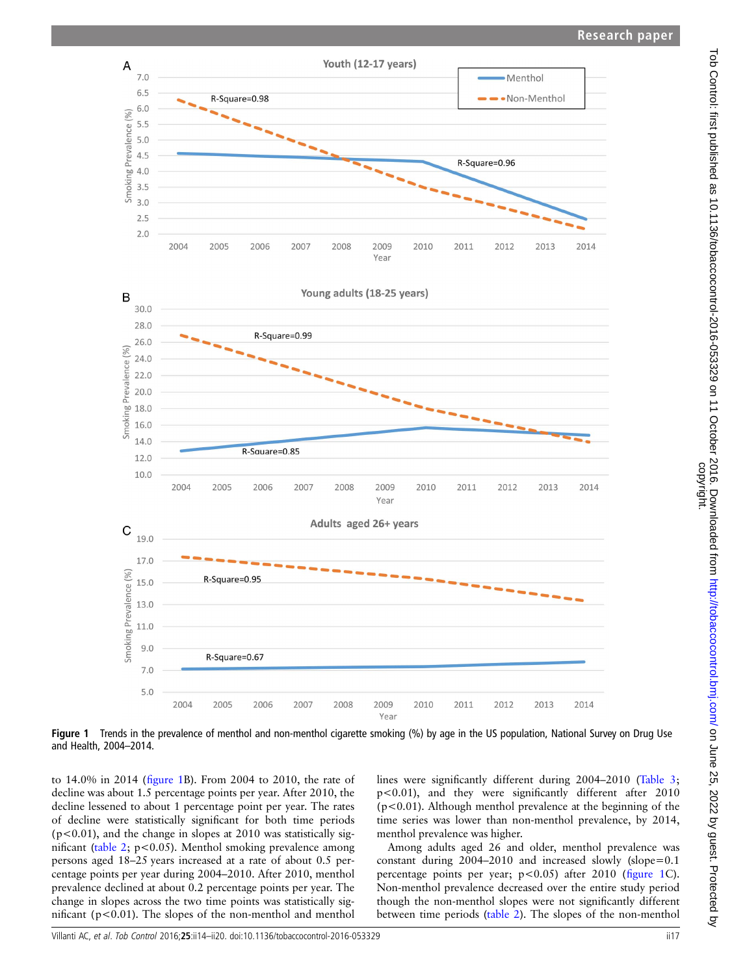<span id="page-3-0"></span>



Figure 1 Trends in the prevalence of menthol and non-menthol cigarette smoking (%) by age in the US population, National Survey on Drug Use and Health, 2004–2014.

to 14.0% in 2014 (figure 1B). From 2004 to 2010, the rate of decline was about 1.5 percentage points per year. After 2010, the decline lessened to about 1 percentage point per year. The rates of decline were statistically significant for both time periods  $(p<0.01)$ , and the change in slopes at 2010 was statistically significant (table 2;  $p < 0.05$ ). Menthol smoking prevalence among persons aged 18–25 years increased at a rate of about 0.5 percentage points per year during 2004–2010. After 2010, menthol prevalence declined at about 0.2 percentage points per year. The change in slopes across the two time points was statistically significant ( $p$ <0.01). The slopes of the non-menthol and menthol

lines were significantly different during 2004–2010 (Table 3; p<0.01), and they were significantly different after 2010 (p<0.01). Although menthol prevalence at the beginning of the time series was lower than non-menthol prevalence, by 2014, menthol prevalence was higher.

Among adults aged 26 and older, menthol prevalence was constant during 2004–2010 and increased slowly (slope=0.1 percentage points per year; p<0.05) after 2010 (figure 1C). Non-menthol prevalence decreased over the entire study period though the non-menthol slopes were not significantly different between time periods (table 2). The slopes of the non-menthol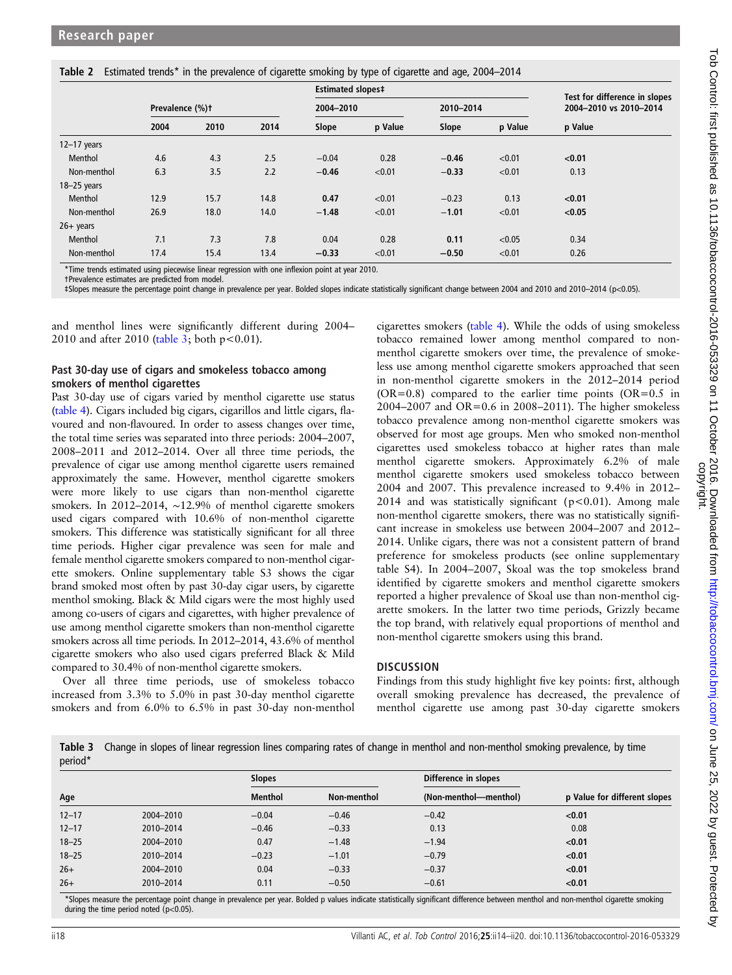Table 2 Estimated trends\* in the prevalence of cigarette smoking by type of cigarette and age, 2004–2014

|                 |                 |      |      | <b>Estimated slopes‡</b> |         | Test for difference in slopes |         |                        |  |  |
|-----------------|-----------------|------|------|--------------------------|---------|-------------------------------|---------|------------------------|--|--|
|                 | Prevalence (%)t |      |      | 2004-2010                |         | 2010-2014                     |         | 2004-2010 vs 2010-2014 |  |  |
|                 | 2004            | 2010 | 2014 | Slope                    | p Value | Slope                         | p Value | p Value                |  |  |
| $12-17$ years   |                 |      |      |                          |         |                               |         |                        |  |  |
| Menthol         | 4.6             | 4.3  | 2.5  | $-0.04$                  | 0.28    | $-0.46$                       | < 0.01  | < 0.01                 |  |  |
| Non-menthol     | 6.3             | 3.5  | 2.2  | $-0.46$                  | < 0.01  | $-0.33$                       | < 0.01  | 0.13                   |  |  |
| $18 - 25$ years |                 |      |      |                          |         |                               |         |                        |  |  |
| Menthol         | 12.9            | 15.7 | 14.8 | 0.47                     | < 0.01  | $-0.23$                       | 0.13    | < 0.01                 |  |  |
| Non-menthol     | 26.9            | 18.0 | 14.0 | $-1.48$                  | < 0.01  | $-1.01$                       | < 0.01  | < 0.05                 |  |  |
| $26+$ years     |                 |      |      |                          |         |                               |         |                        |  |  |
| Menthol         | 7.1             | 7.3  | 7.8  | 0.04                     | 0.28    | 0.11                          | < 0.05  | 0.34                   |  |  |
| Non-menthol     | 17.4            | 15.4 | 13.4 | $-0.33$                  | < 0.01  | $-0.50$                       | < 0.01  | 0.26                   |  |  |

\*Time trends estimated using piecewise linear regression with one inflexion point at year 2010.

†Prevalence estimates are predicted from model.

‡Slopes measure the percentage point change in prevalence per year. Bolded slopes indicate statistically significant change between 2004 and 2010 and 2010–2014 (p<0.05).

and menthol lines were significantly different during 2004– 2010 and after 2010 (table 3; both  $p < 0.01$ ).

## Past 30-day use of cigars and smokeless tobacco among smokers of menthol cigarettes

Past 30-day use of cigars varied by menthol cigarette use status (table 4). Cigars included big cigars, cigarillos and little cigars, flavoured and non-flavoured. In order to assess changes over time, the total time series was separated into three periods: 2004–2007, 2008–2011 and 2012–2014. Over all three time periods, the prevalence of cigar use among menthol cigarette users remained approximately the same. However, menthol cigarette smokers were more likely to use cigars than non-menthol cigarette smokers. In 2012–2014, ∼12.9% of menthol cigarette smokers used cigars compared with 10.6% of non-menthol cigarette smokers. This difference was statistically significant for all three time periods. Higher cigar prevalence was seen for male and female menthol cigarette smokers compared to non-menthol cigarette smokers. Online [supplementary table S3](http://dx.doi.org/10.1136/tobaccocontrol-2016-053329) shows the cigar brand smoked most often by past 30-day cigar users, by cigarette menthol smoking. Black & Mild cigars were the most highly used among co-users of cigars and cigarettes, with higher prevalence of use among menthol cigarette smokers than non-menthol cigarette smokers across all time periods. In 2012–2014, 43.6% of menthol cigarette smokers who also used cigars preferred Black & Mild compared to 30.4% of non-menthol cigarette smokers.

Over all three time periods, use of smokeless tobacco increased from 3.3% to 5.0% in past 30-day menthol cigarette smokers and from 6.0% to 6.5% in past 30-day non-menthol cigarettes smokers (table 4). While the odds of using smokeless tobacco remained lower among menthol compared to nonmenthol cigarette smokers over time, the prevalence of smokeless use among menthol cigarette smokers approached that seen in non-menthol cigarette smokers in the 2012–2014 period  $(OR=0.8)$  compared to the earlier time points  $(OR=0.5)$  in 2004–2007 and OR=0.6 in 2008–2011). The higher smokeless tobacco prevalence among non-menthol cigarette smokers was observed for most age groups. Men who smoked non-menthol cigarettes used smokeless tobacco at higher rates than male menthol cigarette smokers. Approximately 6.2% of male menthol cigarette smokers used smokeless tobacco between 2004 and 2007. This prevalence increased to 9.4% in 2012– 2014 and was statistically significant ( $p$ <0.01). Among male non-menthol cigarette smokers, there was no statistically significant increase in smokeless use between 2004–2007 and 2012– 2014. Unlike cigars, there was not a consistent pattern of brand preference for smokeless products (see online [supplementary](http://dx.doi.org/10.1136/tobaccocontrol-2016-053329) [table S4\)](http://dx.doi.org/10.1136/tobaccocontrol-2016-053329). In 2004–2007, Skoal was the top smokeless brand identified by cigarette smokers and menthol cigarette smokers reported a higher prevalence of Skoal use than non-menthol cigarette smokers. In the latter two time periods, Grizzly became the top brand, with relatively equal proportions of menthol and non-menthol cigarette smokers using this brand.

# **DISCUSSION**

Findings from this study highlight five key points: first, although overall smoking prevalence has decreased, the prevalence of menthol cigarette use among past 30-day cigarette smokers

Table 3 Change in slopes of linear regression lines comparing rates of change in menthol and non-menthol smoking prevalence, by time period\*

|           |           | <b>Slopes</b>  |             | Difference in slopes  |                              |
|-----------|-----------|----------------|-------------|-----------------------|------------------------------|
| Age       |           | <b>Menthol</b> | Non-menthol | (Non-menthol-menthol) | p Value for different slopes |
| $12 - 17$ | 2004-2010 | $-0.04$        | $-0.46$     | $-0.42$               | < 0.01                       |
| $12 - 17$ | 2010-2014 | $-0.46$        | $-0.33$     | 0.13                  | 0.08                         |
| $18 - 25$ | 2004-2010 | 0.47           | $-1.48$     | $-1.94$               | < 0.01                       |
| $18 - 25$ | 2010-2014 | $-0.23$        | $-1.01$     | $-0.79$               | < 0.01                       |
| $26+$     | 2004-2010 | 0.04           | $-0.33$     | $-0.37$               | < 0.01                       |
| $26+$     | 2010-2014 | 0.11           | $-0.50$     | $-0.61$               | < 0.01                       |

\*Slopes measure the percentage point change in prevalence per year. Bolded p values indicate statistically significant difference between menthol and non-menthol cigarette smoking during the time period noted  $(p<0.05)$ .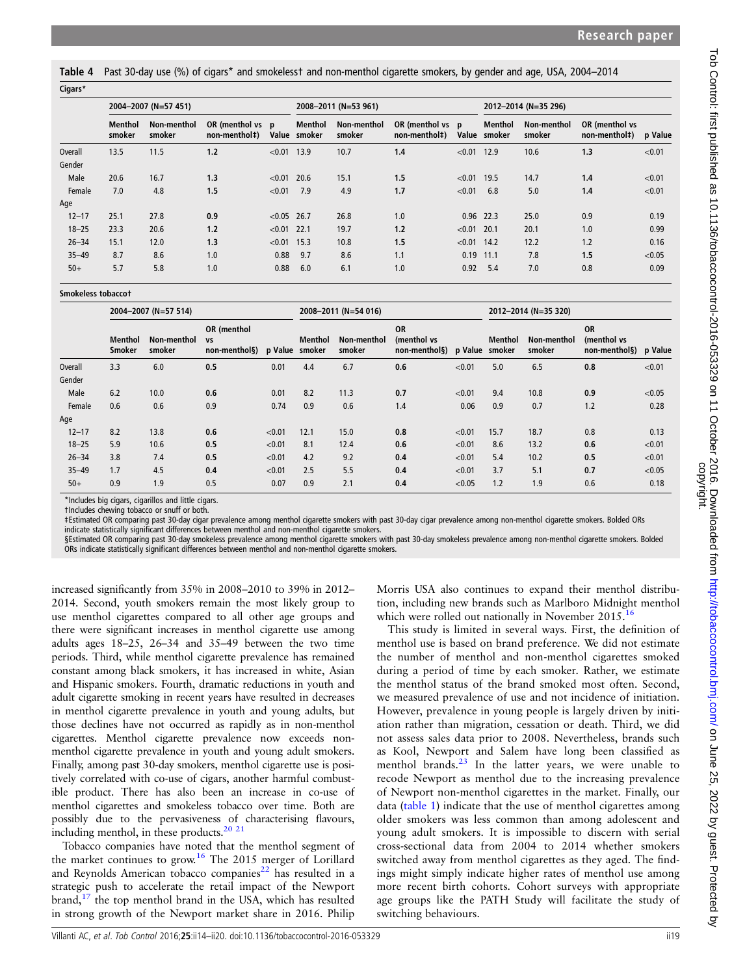Table 4 Past 30-day use (%) of cigars\* and smokeless† and non-menthol cigarette smokers, by gender and age, USA, 2004–2014

|           | 2004-2007 (N=57 451)     |                       |                                   |               |                         | 2008-2011 (N=53 961)  |                                   |        | 2012-2014 (N=35 296)    |                       |                                 |         |  |
|-----------|--------------------------|-----------------------|-----------------------------------|---------------|-------------------------|-----------------------|-----------------------------------|--------|-------------------------|-----------------------|---------------------------------|---------|--|
|           | <b>Menthol</b><br>smoker | Non-menthol<br>smoker | OR (menthol vs p<br>non-menthol‡) |               | Menthol<br>Value smoker | Non-menthol<br>smoker | OR (menthol vs p<br>non-menthol‡) |        | Menthol<br>Value smoker | Non-menthol<br>smoker | OR (menthol vs<br>non-menthol‡) | p Value |  |
| Overall   | 13.5                     | 11.5                  | 1.2                               | < 0.01        | 13.9                    | 10.7                  | 1.4                               | < 0.01 | 12.9                    | 10.6                  | 1.3                             | < 0.01  |  |
| Gender    |                          |                       |                                   |               |                         |                       |                                   |        |                         |                       |                                 |         |  |
| Male      | 20.6                     | 16.7                  | 1.3                               | < 0.01        | 20.6                    | 15.1                  | 1.5                               | < 0.01 | 19.5                    | 14.7                  | 1.4                             | < 0.01  |  |
| Female    | 7.0                      | 4.8                   | 1.5                               | < 0.01        | 7.9                     | 4.9                   | 1.7                               | < 0.01 | 6.8                     | 5.0                   | 1.4                             | < 0.01  |  |
| Age       |                          |                       |                                   |               |                         |                       |                                   |        |                         |                       |                                 |         |  |
| $12 - 17$ | 25.1                     | 27.8                  | 0.9                               | $< 0.05$ 26.7 |                         | 26.8                  | 1.0                               |        | $0.96$ 22.3             | 25.0                  | 0.9                             | 0.19    |  |
| $18 - 25$ | 23.3                     | 20.6                  | 1.2                               | $< 0.01$ 22.1 |                         | 19.7                  | 1.2                               | < 0.01 | 20.1                    | 20.1                  | 1.0                             | 0.99    |  |
| $26 - 34$ | 15.1                     | 12.0                  | 1.3                               | < 0.01        | 15.3                    | 10.8                  | 1.5                               | < 0.01 | 14.2                    | 12.2                  | 1.2                             | 0.16    |  |
| $35 - 49$ | 8.7                      | 8.6                   | 1.0                               | 0.88          | 9.7                     | 8.6                   | 1.1                               | 0.19   | 11.1                    | 7.8                   | 1.5                             | < 0.05  |  |
| $50+$     | 5.7                      | 5.8                   | 1.0                               | 0.88          | 6.0                     | 6.1                   | 1.0                               | 0.92   | 5.4                     | 7.0                   | 0.8                             | 0.09    |  |

Smokeless tobacco†

Cigars of the control of the control of the control of the control of the control of the control of the control of the control of the control of the control of the control of the control of the control of the control of th

|           | 2004-2007 (N=57 514)            |                       |                                                          |        |         | 2008-2011 (N=54 016)  |                                                          | 2012-2014 (N=35 320) |                |                       |                                                   |        |
|-----------|---------------------------------|-----------------------|----------------------------------------------------------|--------|---------|-----------------------|----------------------------------------------------------|----------------------|----------------|-----------------------|---------------------------------------------------|--------|
|           | <b>Menthol</b><br><b>Smoker</b> | Non-menthol<br>smoker | OR (menthol<br><b>VS</b><br>non-menthol§) p Value smoker |        | Menthol | Non-menthol<br>smoker | <b>OR</b><br>(menthol vs<br>non-menthol§) p Value smoker |                      | <b>Menthol</b> | Non-menthol<br>smoker | <b>OR</b><br>(menthol vs<br>non-menthol§) p Value |        |
| Overall   | 3.3                             | 6.0                   | 0.5                                                      | 0.01   | 4.4     | 6.7                   | 0.6                                                      | < 0.01               | 5.0            | 6.5                   | 0.8                                               | < 0.01 |
| Gender    |                                 |                       |                                                          |        |         |                       |                                                          |                      |                |                       |                                                   |        |
| Male      | 6.2                             | 10.0                  | 0.6                                                      | 0.01   | 8.2     | 11.3                  | 0.7                                                      | < 0.01               | 9.4            | 10.8                  | 0.9                                               | < 0.05 |
| Female    | 0.6                             | 0.6                   | 0.9                                                      | 0.74   | 0.9     | 0.6                   | 1.4                                                      | 0.06                 | 0.9            | 0.7                   | 1.2                                               | 0.28   |
| Age       |                                 |                       |                                                          |        |         |                       |                                                          |                      |                |                       |                                                   |        |
| $12 - 17$ | 8.2                             | 13.8                  | 0.6                                                      | < 0.01 | 12.1    | 15.0                  | 0.8                                                      | < 0.01               | 15.7           | 18.7                  | 0.8                                               | 0.13   |
| $18 - 25$ | 5.9                             | 10.6                  | 0.5                                                      | < 0.01 | 8.1     | 12.4                  | 0.6                                                      | < 0.01               | 8.6            | 13.2                  | 0.6                                               | < 0.01 |
| $26 - 34$ | 3.8                             | 7.4                   | 0.5                                                      | < 0.01 | 4.2     | 9.2                   | 0.4                                                      | < 0.01               | 5.4            | 10.2                  | 0.5                                               | < 0.01 |
| $35 - 49$ | 1.7                             | 4.5                   | 0.4                                                      | < 0.01 | 2.5     | 5.5                   | 0.4                                                      | < 0.01               | 3.7            | 5.1                   | 0.7                                               | < 0.05 |
| $50+$     | 0.9                             | 1.9                   | 0.5                                                      | 0.07   | 0.9     | 2.1                   | 0.4                                                      | < 0.05               | 1.2            | 1.9                   | 0.6                                               | 0.18   |

\*Includes big cigars, cigarillos and little cigars.

†Includes chewing tobacco or snuff or both.

‡Estimated OR comparing past 30-day cigar prevalence among menthol cigarette smokers with past 30-day cigar prevalence among non-menthol cigarette smokers. Bolded ORs indicate statistically significant differences between menthol and non-menthol cigarette smokers.

§Estimated OR comparing past 30-day smokeless prevalence among menthol cigarette smokers with past 30-day smokeless prevalence among non-menthol cigarette smokers. Bolded ORs indicate statistically significant differences between menthol and non-menthol cigarette smokers.

increased significantly from 35% in 2008–2010 to 39% in 2012– 2014. Second, youth smokers remain the most likely group to use menthol cigarettes compared to all other age groups and there were significant increases in menthol cigarette use among adults ages 18–25, 26–34 and 35–49 between the two time periods. Third, while menthol cigarette prevalence has remained constant among black smokers, it has increased in white, Asian and Hispanic smokers. Fourth, dramatic reductions in youth and adult cigarette smoking in recent years have resulted in decreases in menthol cigarette prevalence in youth and young adults, but those declines have not occurred as rapidly as in non-menthol cigarettes. Menthol cigarette prevalence now exceeds nonmenthol cigarette prevalence in youth and young adult smokers. Finally, among past 30-day smokers, menthol cigarette use is positively correlated with co-use of cigars, another harmful combustible product. There has also been an increase in co-use of menthol cigarettes and smokeless tobacco over time. Both are possibly due to the pervasiveness of characterising flavours, including menthol, in these products.<sup>[20 21](#page-6-0)</sup>

Tobacco companies have noted that the menthol segment of the market continues to grow.<sup>[16](#page-6-0)</sup> The 2015 merger of Lorillard and Reynolds American tobacco companies<sup>[22](#page-6-0)</sup> has resulted in a strategic push to accelerate the retail impact of the Newport  $brand<sub>1</sub><sup>17</sup>$  $brand<sub>1</sub><sup>17</sup>$  $brand<sub>1</sub><sup>17</sup>$  the top menthol brand in the USA, which has resulted in strong growth of the Newport market share in 2016. Philip

Morris USA also continues to expand their menthol distribution, including new brands such as Marlboro Midnight menthol which were rolled out nationally in November 2015.<sup>[16](#page-6-0)</sup>

This study is limited in several ways. First, the definition of menthol use is based on brand preference. We did not estimate the number of menthol and non-menthol cigarettes smoked during a period of time by each smoker. Rather, we estimate the menthol status of the brand smoked most often. Second, we measured prevalence of use and not incidence of initiation. However, prevalence in young people is largely driven by initiation rather than migration, cessation or death. Third, we did not assess sales data prior to 2008. Nevertheless, brands such as Kool, Newport and Salem have long been classified as menthol brands.<sup>[23](#page-6-0)</sup> In the latter years, we were unable to recode Newport as menthol due to the increasing prevalence of Newport non-menthol cigarettes in the market. Finally, our data (table 1) indicate that the use of menthol cigarettes among older smokers was less common than among adolescent and young adult smokers. It is impossible to discern with serial cross-sectional data from 2004 to 2014 whether smokers switched away from menthol cigarettes as they aged. The findings might simply indicate higher rates of menthol use among more recent birth cohorts. Cohort surveys with appropriate age groups like the PATH Study will facilitate the study of switching behaviours.